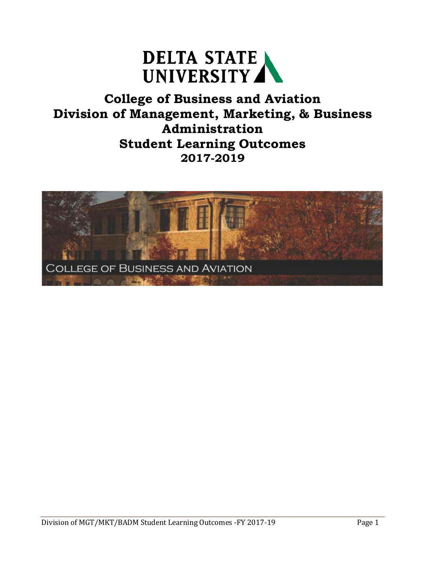

## **College of Business and Aviation Division of Management, Marketing, & Business Administration Student Learning Outcomes 2017-2019**

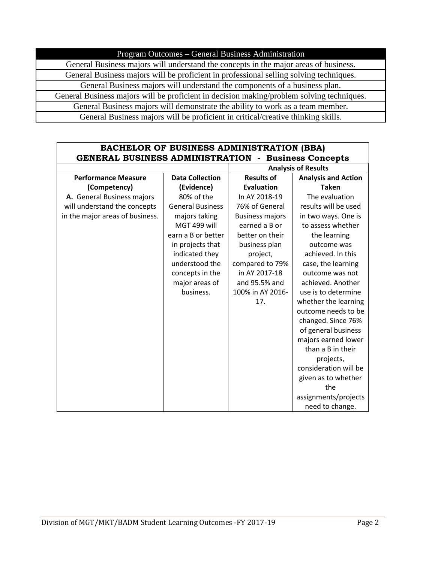Program Outcomes – General Business Administration

General Business majors will understand the concepts in the major areas of business. General Business majors will be proficient in professional selling solving techniques. General Business majors will understand the components of a business plan. General Business majors will be proficient in decision making/problem solving techniques. General Business majors will demonstrate the ability to work as a team member. General Business majors will be proficient in critical/creative thinking skills.

### **BACHELOR OF BUSINESS ADMINISTRATION (BBA) GENERAL BUSINESS ADMINISTRATION - Business Concepts**

|                                 |                         |                        | <b>Analysis of Results</b> |
|---------------------------------|-------------------------|------------------------|----------------------------|
| <b>Performance Measure</b>      | <b>Data Collection</b>  | <b>Results of</b>      | <b>Analysis and Action</b> |
| (Competency)                    | (Evidence)              | <b>Evaluation</b>      | <b>Taken</b>               |
| A. General Business majors      | 80% of the              | In AY 2018-19          | The evaluation             |
| will understand the concepts    | <b>General Business</b> | 76% of General         | results will be used       |
| in the major areas of business. | majors taking           | <b>Business majors</b> | in two ways. One is        |
|                                 | MGT 499 will            | earned a B or          | to assess whether          |
|                                 | earn a B or better      | better on their        | the learning               |
|                                 | in projects that        | business plan          | outcome was                |
|                                 | indicated they          | project,               | achieved. In this          |
|                                 | understood the          | compared to 79%        | case, the learning         |
|                                 | concepts in the         | in AY 2017-18          | outcome was not            |
|                                 | major areas of          | and 95.5% and          | achieved. Another          |
|                                 | business.               | 100% in AY 2016-       | use is to determine        |
|                                 |                         | 17.                    | whether the learning       |
|                                 |                         |                        | outcome needs to be        |
|                                 |                         |                        | changed. Since 76%         |
|                                 |                         |                        | of general business        |
|                                 |                         |                        | majors earned lower        |
|                                 |                         |                        | than a B in their          |
|                                 |                         |                        | projects,                  |
|                                 |                         |                        | consideration will be      |
|                                 |                         |                        | given as to whether        |
|                                 |                         |                        | the                        |
|                                 |                         |                        | assignments/projects       |
|                                 |                         |                        | need to change.            |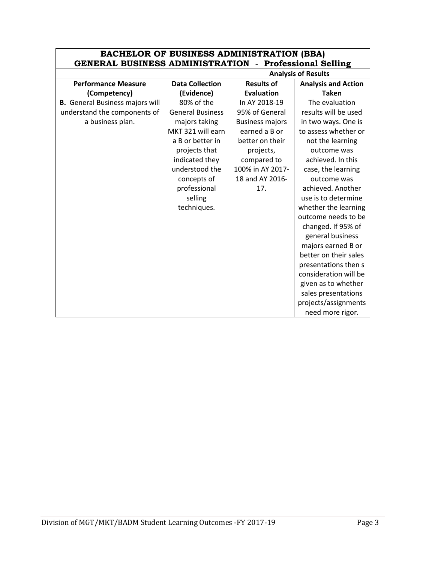| <b>BACHELOR OF BUSINESS ADMINISTRATION (BBA)</b><br><b>GENERAL BUSINESS ADMINISTRATION - Professional Selling</b> |                         |                        |                            |
|-------------------------------------------------------------------------------------------------------------------|-------------------------|------------------------|----------------------------|
| <b>Analysis of Results</b>                                                                                        |                         |                        |                            |
| <b>Performance Measure</b>                                                                                        | <b>Data Collection</b>  | <b>Results of</b>      | <b>Analysis and Action</b> |
| (Competency)                                                                                                      | (Evidence)              | <b>Evaluation</b>      | <b>Taken</b>               |
| <b>B.</b> General Business majors will                                                                            | 80% of the              | In AY 2018-19          | The evaluation             |
| understand the components of                                                                                      | <b>General Business</b> | 95% of General         | results will be used       |
| a business plan.                                                                                                  | majors taking           | <b>Business majors</b> | in two ways. One is        |
|                                                                                                                   | MKT 321 will earn       | earned a B or          | to assess whether or       |
|                                                                                                                   | a B or better in        | better on their        | not the learning           |
|                                                                                                                   | projects that           | projects,              | outcome was                |
|                                                                                                                   | indicated they          | compared to            | achieved. In this          |
|                                                                                                                   | understood the          | 100% in AY 2017-       | case, the learning         |
|                                                                                                                   | concepts of             | 18 and AY 2016-        | outcome was                |
|                                                                                                                   | professional            | 17.                    | achieved. Another          |
|                                                                                                                   | selling                 |                        | use is to determine        |
|                                                                                                                   | techniques.             |                        | whether the learning       |
|                                                                                                                   |                         |                        | outcome needs to be        |
|                                                                                                                   |                         |                        | changed. If 95% of         |
|                                                                                                                   |                         |                        | general business           |
|                                                                                                                   |                         |                        | majors earned B or         |
|                                                                                                                   |                         |                        | better on their sales      |
|                                                                                                                   |                         |                        | presentations then s       |
|                                                                                                                   |                         |                        | consideration will be      |
|                                                                                                                   |                         |                        | given as to whether        |
|                                                                                                                   |                         |                        | sales presentations        |
|                                                                                                                   |                         |                        | projects/assignments       |
|                                                                                                                   |                         |                        | need more rigor.           |

# **BACHELOR OF BUSINESS ADMINISTRATION (BBA)**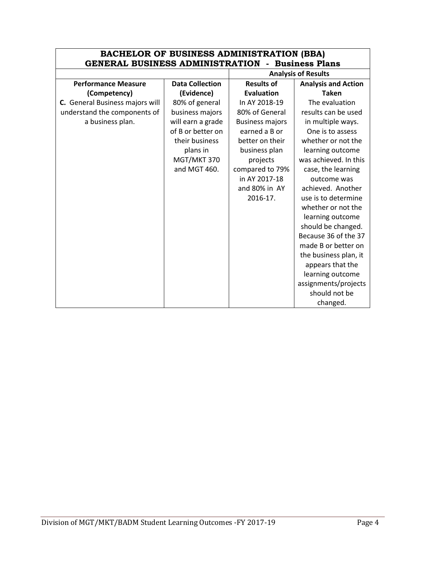| <b>BACHELOR OF BUSINESS ADMINISTRATION (BBA)</b><br><b>GENERAL BUSINESS ADMINISTRATION</b><br>- Business Plans |                        |                        |                            |  |
|----------------------------------------------------------------------------------------------------------------|------------------------|------------------------|----------------------------|--|
| <b>Analysis of Results</b>                                                                                     |                        |                        |                            |  |
| <b>Performance Measure</b>                                                                                     | <b>Data Collection</b> | <b>Results of</b>      | <b>Analysis and Action</b> |  |
| (Competency)                                                                                                   | (Evidence)             | Evaluation             | <b>Taken</b>               |  |
| C. General Business majors will                                                                                | 80% of general         | In AY 2018-19          | The evaluation             |  |
| understand the components of                                                                                   | business majors        | 80% of General         | results can be used        |  |
| a business plan.                                                                                               | will earn a grade      | <b>Business majors</b> | in multiple ways.          |  |
|                                                                                                                | of B or better on      | earned a B or          | One is to assess           |  |
|                                                                                                                | their business         | better on their        | whether or not the         |  |
|                                                                                                                | plans in               | business plan          | learning outcome           |  |
|                                                                                                                | MGT/MKT 370            | projects               | was achieved. In this      |  |
|                                                                                                                | and MGT 460.           | compared to 79%        | case, the learning         |  |
|                                                                                                                |                        | in AY 2017-18          | outcome was                |  |
|                                                                                                                |                        | and 80% in AY          | achieved. Another          |  |
|                                                                                                                |                        | 2016-17.               | use is to determine        |  |
|                                                                                                                |                        |                        | whether or not the         |  |
|                                                                                                                |                        |                        | learning outcome           |  |
|                                                                                                                |                        |                        | should be changed.         |  |
|                                                                                                                |                        |                        | Because 36 of the 37       |  |
|                                                                                                                |                        |                        | made B or better on        |  |
|                                                                                                                |                        |                        | the business plan, it      |  |
|                                                                                                                |                        |                        | appears that the           |  |
|                                                                                                                |                        |                        | learning outcome           |  |
|                                                                                                                |                        |                        | assignments/projects       |  |
|                                                                                                                |                        |                        | should not be              |  |
|                                                                                                                |                        |                        | changed.                   |  |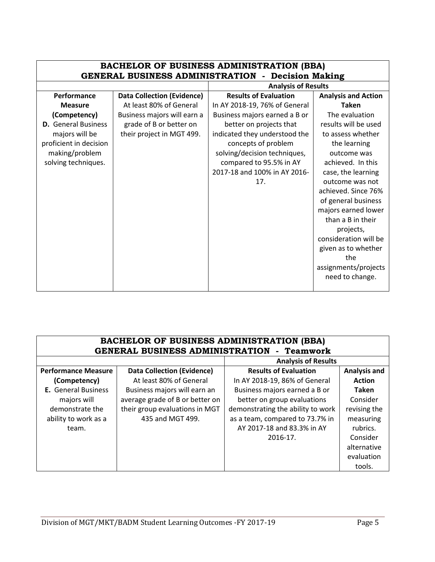| <b>BACHELOR OF BUSINESS ADMINISTRATION (BBA)</b><br><b>GENERAL BUSINESS ADMINISTRATION - Decision Making</b> |                                   |                               |                            |
|--------------------------------------------------------------------------------------------------------------|-----------------------------------|-------------------------------|----------------------------|
|                                                                                                              |                                   | <b>Analysis of Results</b>    |                            |
| Performance                                                                                                  | <b>Data Collection (Evidence)</b> | <b>Results of Evaluation</b>  | <b>Analysis and Action</b> |
| <b>Measure</b>                                                                                               | At least 80% of General           | In AY 2018-19, 76% of General | <b>Taken</b>               |
| (Competency)                                                                                                 | Business majors will earn a       | Business majors earned a B or | The evaluation             |
| <b>D.</b> General Business                                                                                   | grade of B or better on           | better on projects that       | results will be used       |
| majors will be                                                                                               | their project in MGT 499.         | indicated they understood the | to assess whether          |
| proficient in decision                                                                                       |                                   | concepts of problem           | the learning               |
| making/problem                                                                                               |                                   | solving/decision techniques,  | outcome was                |
| solving techniques.                                                                                          |                                   | compared to 95.5% in AY       | achieved. In this          |
|                                                                                                              |                                   | 2017-18 and 100% in AY 2016-  | case, the learning         |
|                                                                                                              |                                   | 17.                           | outcome was not            |
|                                                                                                              |                                   |                               | achieved. Since 76%        |
|                                                                                                              |                                   |                               | of general business        |
|                                                                                                              |                                   |                               | majors earned lower        |
|                                                                                                              |                                   |                               | than a B in their          |
|                                                                                                              |                                   |                               | projects,                  |
|                                                                                                              |                                   |                               | consideration will be      |
|                                                                                                              |                                   |                               | given as to whether        |
|                                                                                                              |                                   |                               | the                        |
|                                                                                                              |                                   |                               | assignments/projects       |
|                                                                                                              |                                   |                               | need to change.            |
|                                                                                                              |                                   |                               |                            |

| <b>BACHELOR OF BUSINESS ADMINISTRATION (BBA)</b>  |  |  |
|---------------------------------------------------|--|--|
| <b>GENERAL BUSINESS ADMINISTRATION - Teamwork</b> |  |  |
|                                                   |  |  |

|                            |                                   | <b>Analysis of Results</b>        |                     |
|----------------------------|-----------------------------------|-----------------------------------|---------------------|
| <b>Performance Measure</b> | <b>Data Collection (Evidence)</b> | <b>Results of Evaluation</b>      | <b>Analysis and</b> |
| (Competency)               | At least 80% of General           | In AY 2018-19, 86% of General     | <b>Action</b>       |
| <b>E.</b> General Business | Business majors will earn an      | Business majors earned a B or     | <b>Taken</b>        |
| majors will                | average grade of B or better on   | better on group evaluations       | Consider            |
| demonstrate the            | their group evaluations in MGT    | demonstrating the ability to work | revising the        |
| ability to work as a       | 435 and MGT 499.                  | as a team, compared to 73.7% in   | measuring           |
| team.                      |                                   | AY 2017-18 and 83.3% in AY        | rubrics.            |
|                            |                                   | 2016-17.                          | Consider            |
|                            |                                   |                                   | alternative         |
|                            |                                   |                                   | evaluation          |
|                            |                                   |                                   | tools.              |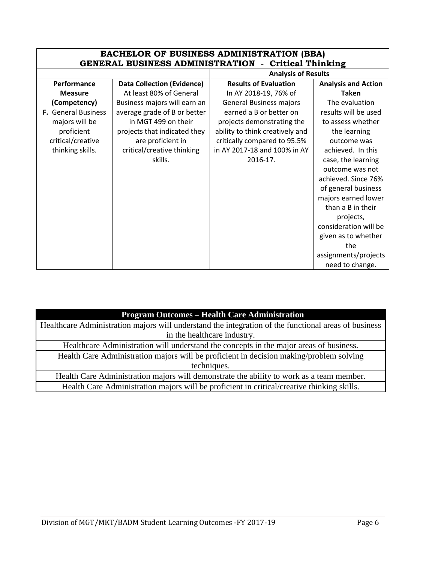| <b>BACHELOR OF BUSINESS ADMINISTRATION (BBA)</b><br><b>GENERAL BUSINESS ADMINISTRATION - Critical Thinking</b> |                                   |                                 |                            |  |
|----------------------------------------------------------------------------------------------------------------|-----------------------------------|---------------------------------|----------------------------|--|
|                                                                                                                |                                   |                                 |                            |  |
|                                                                                                                |                                   | <b>Analysis of Results</b>      |                            |  |
| Performance                                                                                                    | <b>Data Collection (Evidence)</b> | <b>Results of Evaluation</b>    | <b>Analysis and Action</b> |  |
| <b>Measure</b>                                                                                                 | At least 80% of General           | In AY 2018-19, 76% of           | <b>Taken</b>               |  |
| (Competency)                                                                                                   | Business majors will earn an      | <b>General Business majors</b>  | The evaluation             |  |
| F. General Business                                                                                            | average grade of B or better      | earned a B or better on         | results will be used       |  |
| majors will be                                                                                                 | in MGT 499 on their               | projects demonstrating the      | to assess whether          |  |
| proficient                                                                                                     | projects that indicated they      | ability to think creatively and | the learning               |  |
| critical/creative                                                                                              | are proficient in                 | critically compared to 95.5%    | outcome was                |  |
| thinking skills.                                                                                               | critical/creative thinking        | in AY 2017-18 and 100% in AY    | achieved. In this          |  |
|                                                                                                                | skills.                           | 2016-17.                        | case, the learning         |  |
|                                                                                                                |                                   |                                 | outcome was not            |  |
|                                                                                                                |                                   |                                 | achieved. Since 76%        |  |
|                                                                                                                |                                   |                                 | of general business        |  |
|                                                                                                                |                                   |                                 | majors earned lower        |  |
|                                                                                                                |                                   |                                 | than a B in their          |  |
|                                                                                                                |                                   |                                 | projects,                  |  |
|                                                                                                                |                                   |                                 | consideration will be      |  |
|                                                                                                                |                                   |                                 | given as to whether        |  |
|                                                                                                                |                                   |                                 | the                        |  |
|                                                                                                                |                                   |                                 | assignments/projects       |  |
|                                                                                                                |                                   |                                 | need to change.            |  |

| <b>Program Outcomes – Health Care Administration</b>                                                 |  |  |  |
|------------------------------------------------------------------------------------------------------|--|--|--|
| Healthcare Administration majors will understand the integration of the functional areas of business |  |  |  |
| in the healthcare industry.                                                                          |  |  |  |
| Healthcare Administration will understand the concepts in the major areas of business.               |  |  |  |
| Health Care Administration majors will be proficient in decision making/problem solving              |  |  |  |
| techniques.                                                                                          |  |  |  |
| Health Care Administration majors will demonstrate the ability to work as a team member.             |  |  |  |
| Health Care Administration majors will be proficient in critical/creative thinking skills.           |  |  |  |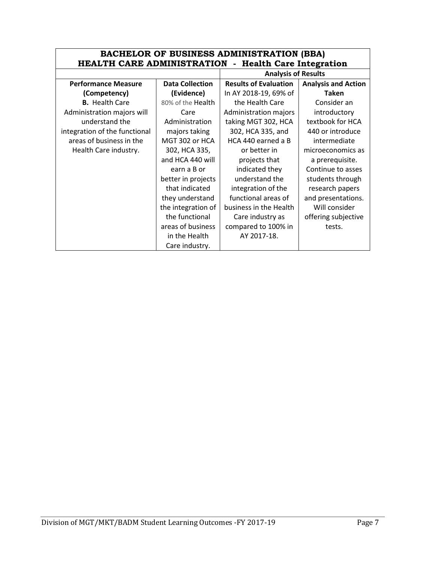| <b>BACHELOR OF BUSINESS ADMINISTRATION (BBA)</b>     |                        |                              |                            |  |
|------------------------------------------------------|------------------------|------------------------------|----------------------------|--|
| HEALTH CARE ADMINISTRATION - Health Care Integration |                        |                              |                            |  |
|                                                      |                        | <b>Analysis of Results</b>   |                            |  |
| <b>Performance Measure</b>                           | <b>Data Collection</b> | <b>Results of Evaluation</b> | <b>Analysis and Action</b> |  |
| (Competency)                                         | (Evidence)             | In AY 2018-19, 69% of        | Taken                      |  |
| <b>B.</b> Health Care                                | 80% of the Health      | the Health Care              | Consider an                |  |
| Administration majors will                           | Care                   | Administration majors        | introductory               |  |
| understand the                                       | Administration         | taking MGT 302, HCA          | textbook for HCA           |  |
| integration of the functional                        | majors taking          | 302, HCA 335, and            | 440 or introduce           |  |
| areas of business in the                             | MGT 302 or HCA         | HCA 440 earned a B           | intermediate               |  |
| Health Care industry.                                | 302, HCA 335,          | or better in                 | microeconomics as          |  |
|                                                      | and HCA 440 will       | projects that                | a prerequisite.            |  |
|                                                      | earn a B or            | indicated they               | Continue to asses          |  |
|                                                      | better in projects     | understand the               | students through           |  |
|                                                      | that indicated         | integration of the           | research papers            |  |
|                                                      | they understand        | functional areas of          | and presentations.         |  |
|                                                      | the integration of     | business in the Health       | Will consider              |  |
|                                                      | the functional         | Care industry as             | offering subjective        |  |
|                                                      | areas of business      | compared to 100% in          | tests.                     |  |
|                                                      | in the Health          | AY 2017-18.                  |                            |  |
|                                                      | Care industry.         |                              |                            |  |

 $\mathbf{r}$ 

 $\blacksquare$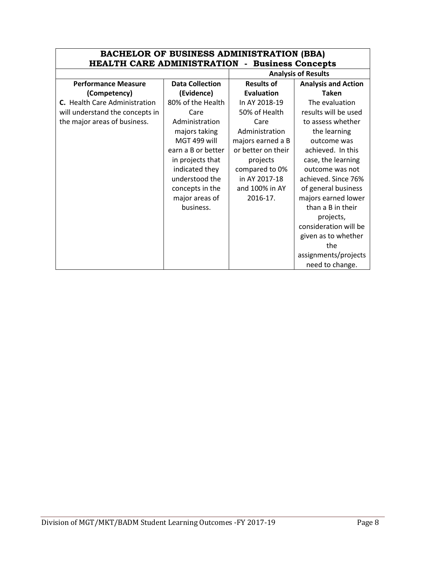| <b>BACHELOR OF BUSINESS ADMINISTRATION (BBA)</b>      |                        |                    |                            |
|-------------------------------------------------------|------------------------|--------------------|----------------------------|
| <b>HEALTH CARE ADMINISTRATION - Business Concepts</b> |                        |                    |                            |
|                                                       |                        |                    | <b>Analysis of Results</b> |
| <b>Performance Measure</b>                            | <b>Data Collection</b> | <b>Results of</b>  | <b>Analysis and Action</b> |
| (Competency)                                          | (Evidence)             | Evaluation         | <b>Taken</b>               |
| C. Health Care Administration                         | 80% of the Health      | In AY 2018-19      | The evaluation             |
| will understand the concepts in                       | Care                   | 50% of Health      | results will be used       |
| the major areas of business.                          | Administration         | Care               | to assess whether          |
|                                                       | majors taking          | Administration     | the learning               |
|                                                       | MGT 499 will           | majors earned a B  | outcome was                |
|                                                       | earn a B or better     | or better on their | achieved. In this          |
|                                                       | in projects that       | projects           | case, the learning         |
|                                                       | indicated they         | compared to 0%     | outcome was not            |
|                                                       | understood the         | in AY 2017-18      | achieved. Since 76%        |
|                                                       | concepts in the        | and 100% in AY     | of general business        |
|                                                       | major areas of         | 2016-17.           | majors earned lower        |
|                                                       | business.              |                    | than a B in their          |
|                                                       |                        |                    | projects,                  |
|                                                       |                        |                    | consideration will be      |
|                                                       |                        |                    | given as to whether        |
|                                                       |                        |                    | the                        |
|                                                       |                        |                    | assignments/projects       |
|                                                       |                        |                    | need to change.            |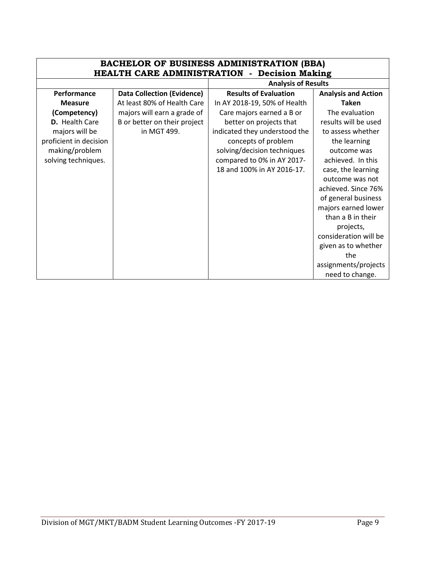| <b>BACHELOR OF BUSINESS ADMINISTRATION (BBA)</b><br><b>HEALTH CARE ADMINISTRATION - Decision Making</b> |                                   |                               |                            |
|---------------------------------------------------------------------------------------------------------|-----------------------------------|-------------------------------|----------------------------|
|                                                                                                         |                                   | <b>Analysis of Results</b>    |                            |
| Performance                                                                                             | <b>Data Collection (Evidence)</b> | <b>Results of Evaluation</b>  | <b>Analysis and Action</b> |
| <b>Measure</b>                                                                                          | At least 80% of Health Care       | In AY 2018-19, 50% of Health  | <b>Taken</b>               |
| (Competency)                                                                                            | majors will earn a grade of       | Care majors earned a B or     | The evaluation             |
| <b>D.</b> Health Care                                                                                   | B or better on their project      | better on projects that       | results will be used       |
| majors will be                                                                                          | in MGT 499.                       | indicated they understood the | to assess whether          |
| proficient in decision                                                                                  |                                   | concepts of problem           | the learning               |
| making/problem                                                                                          |                                   | solving/decision techniques   | outcome was                |
| solving techniques.                                                                                     |                                   | compared to 0% in AY 2017-    | achieved. In this          |
|                                                                                                         |                                   | 18 and 100% in AY 2016-17.    | case, the learning         |
|                                                                                                         |                                   |                               | outcome was not            |
|                                                                                                         |                                   |                               | achieved. Since 76%        |
|                                                                                                         |                                   |                               | of general business        |
|                                                                                                         |                                   |                               | majors earned lower        |
|                                                                                                         |                                   |                               | than a B in their          |
|                                                                                                         |                                   |                               | projects,                  |
|                                                                                                         |                                   |                               | consideration will be      |
|                                                                                                         |                                   |                               | given as to whether        |
|                                                                                                         |                                   |                               | the                        |
|                                                                                                         |                                   |                               | assignments/projects       |
|                                                                                                         |                                   |                               | need to change.            |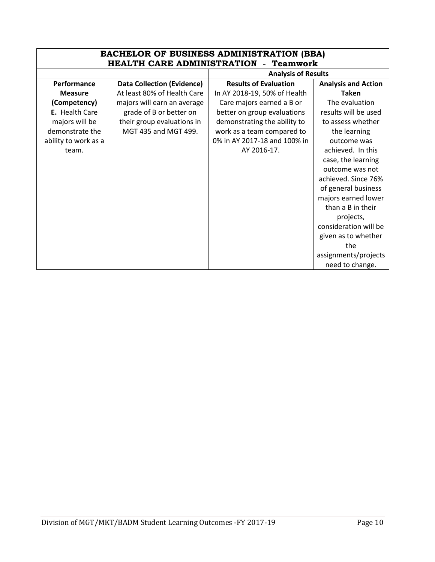| <b>BACHELOR OF BUSINESS ADMINISTRATION (BBA)</b><br><b>HEALTH CARE ADMINISTRATION - Teamwork</b> |                                   |                              |                            |
|--------------------------------------------------------------------------------------------------|-----------------------------------|------------------------------|----------------------------|
|                                                                                                  |                                   | <b>Analysis of Results</b>   |                            |
| Performance                                                                                      | <b>Data Collection (Evidence)</b> | <b>Results of Evaluation</b> | <b>Analysis and Action</b> |
| <b>Measure</b>                                                                                   | At least 80% of Health Care       | In AY 2018-19, 50% of Health | <b>Taken</b>               |
| (Competency)                                                                                     | majors will earn an average       | Care majors earned a B or    | The evaluation             |
| E. Health Care                                                                                   | grade of B or better on           | better on group evaluations  | results will be used       |
| majors will be                                                                                   | their group evaluations in        | demonstrating the ability to | to assess whether          |
| demonstrate the                                                                                  | MGT 435 and MGT 499.              | work as a team compared to   | the learning               |
| ability to work as a                                                                             |                                   | 0% in AY 2017-18 and 100% in | outcome was                |
| team.                                                                                            |                                   | AY 2016-17.                  | achieved. In this          |
|                                                                                                  |                                   |                              | case, the learning         |
|                                                                                                  |                                   |                              | outcome was not            |
|                                                                                                  |                                   |                              | achieved. Since 76%        |
|                                                                                                  |                                   |                              | of general business        |
|                                                                                                  |                                   |                              | majors earned lower        |
|                                                                                                  |                                   |                              | than a B in their          |
|                                                                                                  |                                   |                              | projects,                  |
|                                                                                                  |                                   |                              | consideration will be      |
|                                                                                                  |                                   |                              | given as to whether        |
|                                                                                                  |                                   |                              | the                        |
|                                                                                                  |                                   |                              | assignments/projects       |
|                                                                                                  |                                   |                              | need to change.            |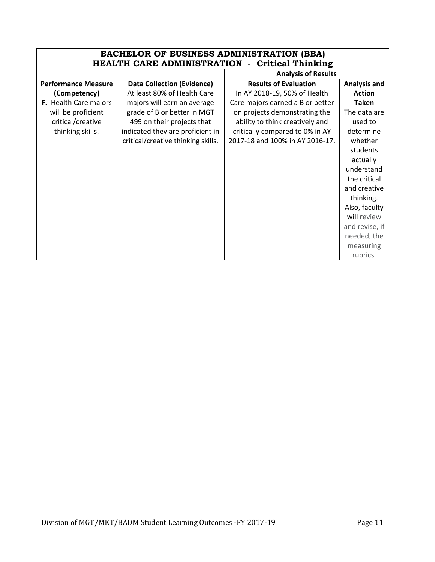| <b>BACHELOR OF BUSINESS ADMINISTRATION (BBA)</b><br><b>HEALTH CARE ADMINISTRATION - Critical Thinking</b> |                                    |                                  |                     |
|-----------------------------------------------------------------------------------------------------------|------------------------------------|----------------------------------|---------------------|
|                                                                                                           |                                    | <b>Analysis of Results</b>       |                     |
| <b>Performance Measure</b>                                                                                | <b>Data Collection (Evidence)</b>  | <b>Results of Evaluation</b>     | <b>Analysis and</b> |
| (Competency)                                                                                              | At least 80% of Health Care        | In AY 2018-19, 50% of Health     | <b>Action</b>       |
| F. Health Care majors                                                                                     | majors will earn an average        | Care majors earned a B or better | <b>Taken</b>        |
| will be proficient                                                                                        | grade of B or better in MGT        | on projects demonstrating the    | The data are        |
| critical/creative                                                                                         | 499 on their projects that         | ability to think creatively and  | used to             |
| thinking skills.                                                                                          | indicated they are proficient in   | critically compared to 0% in AY  | determine           |
|                                                                                                           | critical/creative thinking skills. | 2017-18 and 100% in AY 2016-17.  | whether             |
|                                                                                                           |                                    |                                  | students            |
|                                                                                                           |                                    |                                  | actually            |
|                                                                                                           |                                    |                                  | understand          |
|                                                                                                           |                                    |                                  | the critical        |
|                                                                                                           |                                    |                                  | and creative        |
|                                                                                                           |                                    |                                  | thinking.           |
|                                                                                                           |                                    |                                  | Also, faculty       |
|                                                                                                           |                                    |                                  | will review         |
|                                                                                                           |                                    |                                  | and revise, if      |
|                                                                                                           |                                    |                                  | needed, the         |
|                                                                                                           |                                    |                                  | measuring           |
|                                                                                                           |                                    |                                  | rubrics.            |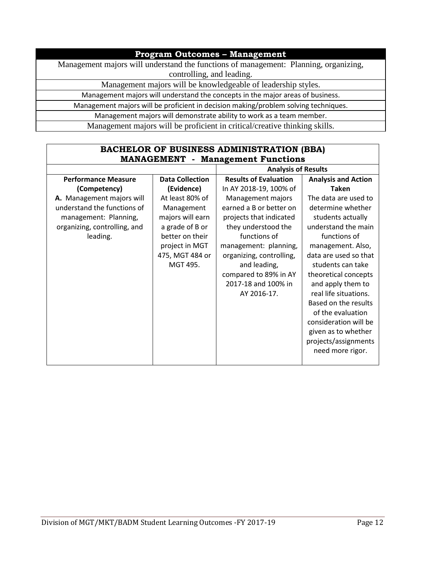## **Program Outcomes – Management**

Management majors will understand the functions of management: Planning, organizing, controlling, and leading.

Management majors will be knowledgeable of leadership styles.

Management majors will understand the concepts in the major areas of business.

Management majors will be proficient in decision making/problem solving techniques.

Management majors will demonstrate ability to work as a team member.

Management majors will be proficient in critical/creative thinking skills.

| <b>BACHELOR OF BUSINESS ADMINISTRATION (BBA)</b><br><b>MANAGEMENT</b> - Management Functions |                        |                              |                            |
|----------------------------------------------------------------------------------------------|------------------------|------------------------------|----------------------------|
| <b>Analysis of Results</b>                                                                   |                        |                              |                            |
| <b>Performance Measure</b>                                                                   | <b>Data Collection</b> | <b>Results of Evaluation</b> | <b>Analysis and Action</b> |
| (Competency)                                                                                 | (Evidence)             | In AY 2018-19, 100% of       | <b>Taken</b>               |
| A. Management majors will                                                                    | At least 80% of        | Management majors            | The data are used to       |
| understand the functions of                                                                  | Management             | earned a B or better on      | determine whether          |
| management: Planning,                                                                        | majors will earn       | projects that indicated      | students actually          |
| organizing, controlling, and                                                                 | a grade of B or        | they understood the          | understand the main        |
| leading.                                                                                     | better on their        | functions of                 | functions of               |
|                                                                                              | project in MGT         | management: planning,        | management. Also,          |
|                                                                                              | 475, MGT 484 or        | organizing, controlling,     | data are used so that      |
|                                                                                              | MGT 495.               | and leading,                 | students can take          |
|                                                                                              |                        | compared to 89% in AY        | theoretical concepts       |
|                                                                                              |                        | 2017-18 and 100% in          | and apply them to          |
|                                                                                              |                        | AY 2016-17.                  | real life situations.      |
|                                                                                              |                        |                              | Based on the results       |
|                                                                                              |                        |                              | of the evaluation          |
|                                                                                              |                        |                              | consideration will be      |
|                                                                                              |                        |                              | given as to whether        |
|                                                                                              |                        |                              | projects/assignments       |
|                                                                                              |                        |                              | need more rigor.           |
|                                                                                              |                        |                              |                            |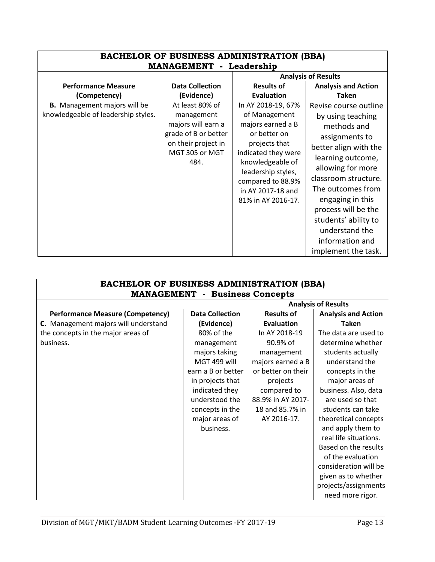| <b>BACHELOR OF BUSINESS ADMINISTRATION (BBA)</b><br><b>MANAGEMENT</b> - Leadership |                                                                                                           |                                                                                                                                                                                                      |                                                                                                                                                                                                                                                         |  |  |
|------------------------------------------------------------------------------------|-----------------------------------------------------------------------------------------------------------|------------------------------------------------------------------------------------------------------------------------------------------------------------------------------------------------------|---------------------------------------------------------------------------------------------------------------------------------------------------------------------------------------------------------------------------------------------------------|--|--|
|                                                                                    | <b>Analysis of Results</b>                                                                                |                                                                                                                                                                                                      |                                                                                                                                                                                                                                                         |  |  |
| <b>Performance Measure</b>                                                         | <b>Data Collection</b>                                                                                    | <b>Results of</b>                                                                                                                                                                                    | <b>Analysis and Action</b>                                                                                                                                                                                                                              |  |  |
| (Competency)                                                                       | (Evidence)                                                                                                | <b>Evaluation</b>                                                                                                                                                                                    | <b>Taken</b>                                                                                                                                                                                                                                            |  |  |
| <b>B.</b> Management majors will be                                                | At least 80% of                                                                                           | In AY 2018-19, 67%                                                                                                                                                                                   | Revise course outline                                                                                                                                                                                                                                   |  |  |
| knowledgeable of leadership styles.                                                | management<br>majors will earn a<br>grade of B or better<br>on their project in<br>MGT 305 or MGT<br>484. | of Management<br>majors earned a B<br>or better on<br>projects that<br>indicated they were<br>knowledgeable of<br>leadership styles,<br>compared to 88.9%<br>in AY 2017-18 and<br>81% in AY 2016-17. | by using teaching<br>methods and<br>assignments to<br>better align with the<br>learning outcome,<br>allowing for more<br>classroom structure.<br>The outcomes from<br>engaging in this<br>process will be the<br>students' ability to<br>understand the |  |  |
|                                                                                    |                                                                                                           |                                                                                                                                                                                                      | information and<br>implement the task.                                                                                                                                                                                                                  |  |  |

| <b>BACHELOR OF BUSINESS ADMINISTRATION (BBA)</b><br><b>MANAGEMENT - Business Concepts</b> |                        |                    |                            |
|-------------------------------------------------------------------------------------------|------------------------|--------------------|----------------------------|
|                                                                                           |                        |                    | <b>Analysis of Results</b> |
| <b>Performance Measure (Competency)</b>                                                   | <b>Data Collection</b> | <b>Results of</b>  | <b>Analysis and Action</b> |
| C. Management majors will understand                                                      | (Evidence)             | <b>Evaluation</b>  | <b>Taken</b>               |
| the concepts in the major areas of                                                        | 80% of the             | In AY 2018-19      | The data are used to       |
| business.                                                                                 | management             | 90.9% of           | determine whether          |
|                                                                                           | majors taking          | management         | students actually          |
|                                                                                           | MGT 499 will           | majors earned a B  | understand the             |
|                                                                                           | earn a B or better     | or better on their | concepts in the            |
|                                                                                           | in projects that       | projects           | major areas of             |
|                                                                                           | indicated they         | compared to        | business. Also, data       |
|                                                                                           | understood the         | 88.9% in AY 2017-  | are used so that           |
|                                                                                           | concepts in the        | 18 and 85.7% in    | students can take          |
|                                                                                           | major areas of         | AY 2016-17.        | theoretical concepts       |
|                                                                                           | business.              |                    | and apply them to          |
|                                                                                           |                        |                    | real life situations.      |
|                                                                                           |                        |                    | Based on the results       |
|                                                                                           |                        |                    | of the evaluation          |
|                                                                                           |                        |                    | consideration will be      |
|                                                                                           |                        |                    | given as to whether        |
|                                                                                           |                        |                    | projects/assignments       |
|                                                                                           |                        |                    | need more rigor.           |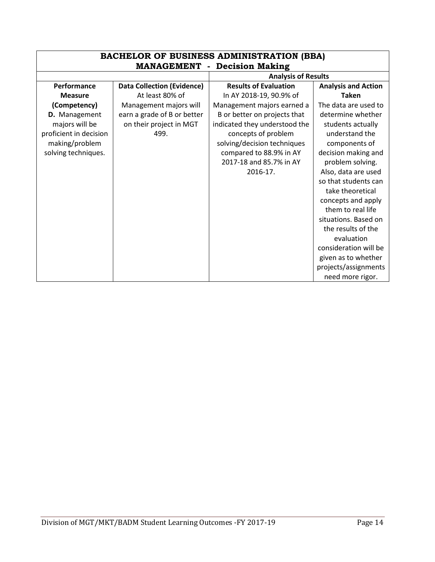| <b>BACHELOR OF BUSINESS ADMINISTRATION (BBA)</b> |                                     |                               |                            |  |
|--------------------------------------------------|-------------------------------------|-------------------------------|----------------------------|--|
|                                                  | <b>MANAGEMENT - Decision Making</b> |                               |                            |  |
|                                                  |                                     | <b>Analysis of Results</b>    |                            |  |
| Performance                                      | <b>Data Collection (Evidence)</b>   | <b>Results of Evaluation</b>  | <b>Analysis and Action</b> |  |
| <b>Measure</b>                                   | At least 80% of                     | In AY 2018-19, 90.9% of       | <b>Taken</b>               |  |
| (Competency)                                     | Management majors will              | Management majors earned a    | The data are used to       |  |
| D. Management                                    | earn a grade of B or better         | B or better on projects that  | determine whether          |  |
| majors will be                                   | on their project in MGT             | indicated they understood the | students actually          |  |
| proficient in decision                           | 499.                                | concepts of problem           | understand the             |  |
| making/problem                                   |                                     | solving/decision techniques   | components of              |  |
| solving techniques.                              |                                     | compared to 88.9% in AY       | decision making and        |  |
|                                                  |                                     | 2017-18 and 85.7% in AY       | problem solving.           |  |
|                                                  |                                     | 2016-17.                      | Also, data are used        |  |
|                                                  |                                     |                               | so that students can       |  |
|                                                  |                                     |                               | take theoretical           |  |
|                                                  |                                     |                               | concepts and apply         |  |
|                                                  |                                     |                               | them to real life          |  |
|                                                  |                                     |                               | situations. Based on       |  |
|                                                  |                                     |                               | the results of the         |  |
|                                                  |                                     |                               | evaluation                 |  |
|                                                  |                                     |                               | consideration will be      |  |
|                                                  |                                     |                               | given as to whether        |  |
|                                                  |                                     |                               | projects/assignments       |  |
|                                                  |                                     |                               | need more rigor.           |  |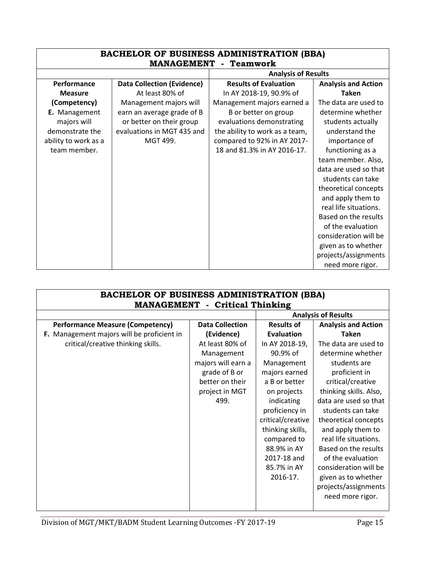| <b>BACHELOR OF BUSINESS ADMINISTRATION (BBA)</b><br><b>MANAGEMENT</b> - Teamwork |                                   |                                |                            |
|----------------------------------------------------------------------------------|-----------------------------------|--------------------------------|----------------------------|
|                                                                                  |                                   | <b>Analysis of Results</b>     |                            |
| Performance                                                                      | <b>Data Collection (Evidence)</b> | <b>Results of Evaluation</b>   | <b>Analysis and Action</b> |
| <b>Measure</b>                                                                   | At least 80% of                   | In AY 2018-19, 90.9% of        | <b>Taken</b>               |
| (Competency)                                                                     | Management majors will            | Management majors earned a     | The data are used to       |
| E. Management                                                                    | earn an average grade of B        | B or better on group           | determine whether          |
| majors will                                                                      | or better on their group          | evaluations demonstrating      | students actually          |
| demonstrate the                                                                  | evaluations in MGT 435 and        | the ability to work as a team, | understand the             |
| ability to work as a                                                             | MGT 499.                          | compared to 92% in AY 2017-    | importance of              |
| team member.                                                                     |                                   | 18 and 81.3% in AY 2016-17.    | functioning as a           |
|                                                                                  |                                   |                                | team member. Also,         |
|                                                                                  |                                   |                                | data are used so that      |
|                                                                                  |                                   |                                | students can take          |
|                                                                                  |                                   |                                | theoretical concepts       |
|                                                                                  |                                   |                                | and apply them to          |
|                                                                                  |                                   |                                | real life situations.      |
|                                                                                  |                                   |                                | Based on the results       |
|                                                                                  |                                   |                                | of the evaluation          |
|                                                                                  |                                   |                                | consideration will be      |
|                                                                                  |                                   |                                | given as to whether        |
|                                                                                  |                                   |                                | projects/assignments       |
|                                                                                  |                                   |                                | need more rigor.           |

| <b>BACHELOR OF BUSINESS ADMINISTRATION (BBA)</b><br><b>MANAGEMENT</b> - Critical Thinking |                            |                   |                            |  |  |
|-------------------------------------------------------------------------------------------|----------------------------|-------------------|----------------------------|--|--|
|                                                                                           | <b>Analysis of Results</b> |                   |                            |  |  |
| <b>Performance Measure (Competency)</b>                                                   | <b>Data Collection</b>     | <b>Results of</b> | <b>Analysis and Action</b> |  |  |
| F. Management majors will be proficient in                                                | (Evidence)                 | <b>Evaluation</b> | <b>Taken</b>               |  |  |
| critical/creative thinking skills.                                                        | At least 80% of            | In AY 2018-19,    | The data are used to       |  |  |
|                                                                                           | Management                 | 90.9% of          | determine whether          |  |  |
|                                                                                           | majors will earn a         | Management        | students are               |  |  |
|                                                                                           | grade of B or              | majors earned     | proficient in              |  |  |
|                                                                                           | better on their            | a B or better     | critical/creative          |  |  |
|                                                                                           | project in MGT             | on projects       | thinking skills. Also,     |  |  |
|                                                                                           | 499.                       | indicating        | data are used so that      |  |  |
|                                                                                           |                            | proficiency in    | students can take          |  |  |
|                                                                                           |                            | critical/creative | theoretical concepts       |  |  |
|                                                                                           |                            | thinking skills,  | and apply them to          |  |  |
|                                                                                           |                            | compared to       | real life situations.      |  |  |
|                                                                                           |                            | 88.9% in AY       | Based on the results       |  |  |
|                                                                                           |                            | 2017-18 and       | of the evaluation          |  |  |
|                                                                                           |                            | 85.7% in AY       | consideration will be      |  |  |
|                                                                                           |                            | 2016-17.          | given as to whether        |  |  |
|                                                                                           |                            |                   | projects/assignments       |  |  |
|                                                                                           |                            |                   | need more rigor.           |  |  |
|                                                                                           |                            |                   |                            |  |  |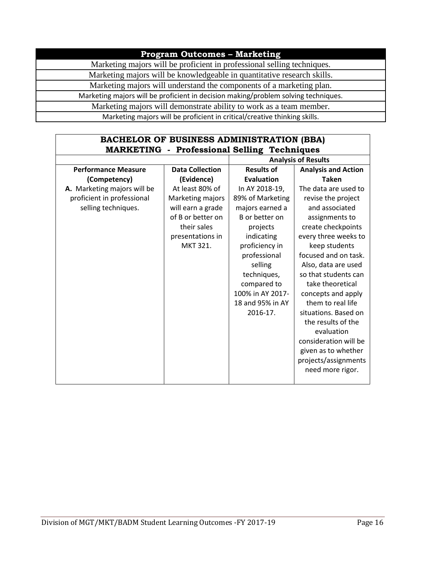### **Program Outcomes – Marketing**

Marketing majors will be proficient in professional selling techniques.

Marketing majors will be knowledgeable in quantitative research skills.

Marketing majors will understand the components of a marketing plan.

Marketing majors will be proficient in decision making/problem solving techniques.

Marketing majors will demonstrate ability to work as a team member.

Marketing majors will be proficient in critical/creative thinking skills.

### **BACHELOR OF BUSINESS ADMINISTRATION (BBA) MARKETING - Professional Selling Techniques**

|                             |                        |                   | <b>Analysis of Results</b> |
|-----------------------------|------------------------|-------------------|----------------------------|
| <b>Performance Measure</b>  | <b>Data Collection</b> | <b>Results of</b> | <b>Analysis and Action</b> |
| (Competency)                | (Evidence)             | <b>Evaluation</b> | <b>Taken</b>               |
| A. Marketing majors will be | At least 80% of        | In AY 2018-19,    | The data are used to       |
| proficient in professional  | Marketing majors       | 89% of Marketing  | revise the project         |
| selling techniques.         | will earn a grade      | majors earned a   | and associated             |
|                             | of B or better on      | B or better on    | assignments to             |
|                             | their sales            | projects          | create checkpoints         |
|                             | presentations in       | indicating        | every three weeks to       |
|                             | MKT 321.               | proficiency in    | keep students              |
|                             |                        | professional      | focused and on task.       |
|                             |                        | selling           | Also, data are used        |
|                             |                        | techniques,       | so that students can       |
|                             |                        | compared to       | take theoretical           |
|                             |                        | 100% in AY 2017-  | concepts and apply         |
|                             |                        | 18 and 95% in AY  | them to real life          |
|                             |                        | 2016-17.          | situations. Based on       |
|                             |                        |                   | the results of the         |
|                             |                        |                   | evaluation                 |
|                             |                        |                   | consideration will be      |
|                             |                        |                   | given as to whether        |
|                             |                        |                   | projects/assignments       |
|                             |                        |                   | need more rigor.           |
|                             |                        |                   |                            |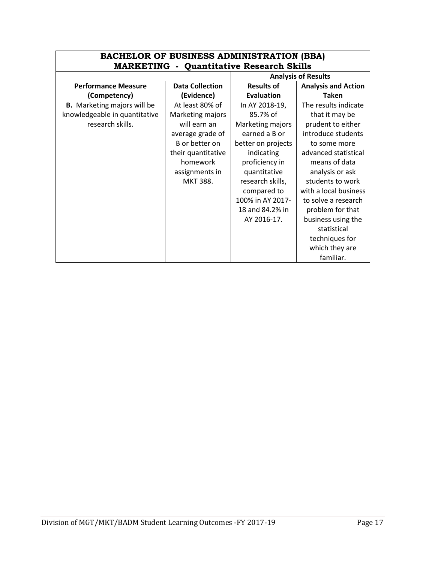|                                    | <b>BACHELOR OF BUSINESS ADMINISTRATION (BBA)</b><br><b>MARKETING - Quantitative Research Skills</b> |                    |                            |  |
|------------------------------------|-----------------------------------------------------------------------------------------------------|--------------------|----------------------------|--|
|                                    |                                                                                                     |                    | <b>Analysis of Results</b> |  |
| <b>Performance Measure</b>         | <b>Data Collection</b>                                                                              | <b>Results of</b>  | <b>Analysis and Action</b> |  |
| (Competency)                       | (Evidence)                                                                                          | <b>Evaluation</b>  | Taken                      |  |
| <b>B.</b> Marketing majors will be | At least 80% of                                                                                     | In AY 2018-19,     | The results indicate       |  |
| knowledgeable in quantitative      | Marketing majors                                                                                    | 85.7% of           | that it may be             |  |
| research skills.                   | will earn an                                                                                        | Marketing majors   | prudent to either          |  |
|                                    | average grade of                                                                                    | earned a B or      | introduce students         |  |
|                                    | B or better on                                                                                      | better on projects | to some more               |  |
|                                    | their quantitative                                                                                  | indicating         | advanced statistical       |  |
|                                    | homework                                                                                            | proficiency in     | means of data              |  |
|                                    | assignments in                                                                                      | quantitative       | analysis or ask            |  |
|                                    | <b>MKT 388.</b>                                                                                     | research skills,   | students to work           |  |
|                                    |                                                                                                     | compared to        | with a local business      |  |
|                                    |                                                                                                     | 100% in AY 2017-   | to solve a research        |  |
|                                    |                                                                                                     | 18 and 84.2% in    | problem for that           |  |
|                                    |                                                                                                     | AY 2016-17.        | business using the         |  |
|                                    |                                                                                                     |                    | statistical                |  |
|                                    |                                                                                                     |                    | techniques for             |  |
|                                    |                                                                                                     |                    | which they are             |  |
|                                    |                                                                                                     |                    | familiar.                  |  |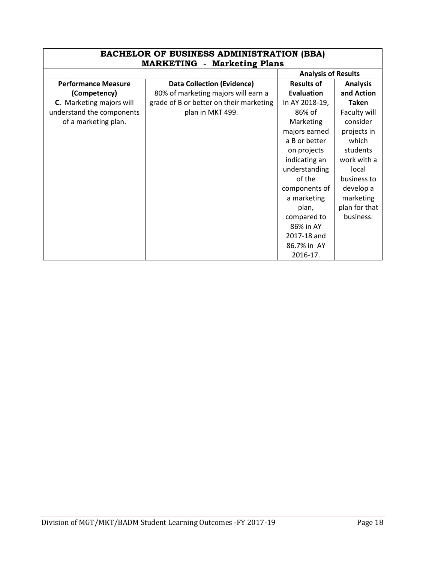| <b>BACHELOR OF BUSINESS ADMINISTRATION (BBA)</b><br><b>MARKETING - Marketing Plans</b> |                                         |                                      |               |
|----------------------------------------------------------------------------------------|-----------------------------------------|--------------------------------------|---------------|
|                                                                                        |                                         | <b>Analysis of Results</b>           |               |
| <b>Performance Measure</b>                                                             | <b>Data Collection (Evidence)</b>       | <b>Results of</b><br><b>Analysis</b> |               |
| (Competency)                                                                           | 80% of marketing majors will earn a     | Evaluation                           | and Action    |
| <b>C.</b> Marketing majors will                                                        | grade of B or better on their marketing | In AY 2018-19,                       | <b>Taken</b>  |
| understand the components                                                              | plan in MKT 499.                        | 86% of                               | Faculty will  |
| of a marketing plan.                                                                   |                                         | Marketing                            | consider      |
|                                                                                        |                                         | majors earned                        | projects in   |
|                                                                                        |                                         | a B or better                        | which         |
|                                                                                        |                                         | on projects                          | students      |
|                                                                                        |                                         | indicating an                        | work with a   |
|                                                                                        |                                         | understanding                        | local         |
|                                                                                        |                                         | of the                               | business to   |
|                                                                                        |                                         | components of                        | develop a     |
|                                                                                        |                                         | a marketing                          | marketing     |
|                                                                                        |                                         | plan,                                | plan for that |
|                                                                                        |                                         | compared to                          | business.     |
|                                                                                        |                                         | 86% in AY                            |               |
|                                                                                        |                                         | 2017-18 and                          |               |
|                                                                                        |                                         | 86.7% in AY                          |               |
|                                                                                        |                                         | 2016-17.                             |               |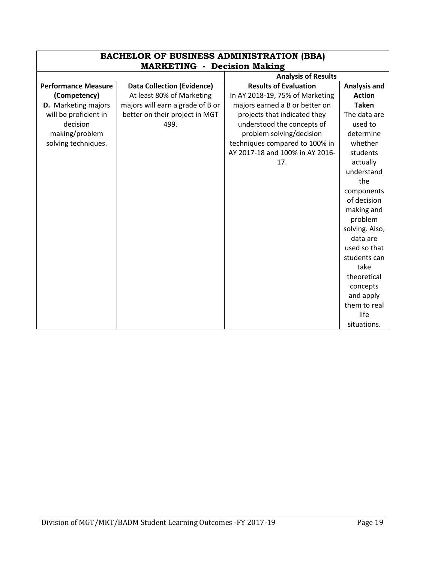| <b>BACHELOR OF BUSINESS ADMINISTRATION (BBA)</b> |                                    |                                 |                     |
|--------------------------------------------------|------------------------------------|---------------------------------|---------------------|
|                                                  | <b>MARKETING - Decision Making</b> |                                 |                     |
|                                                  |                                    | <b>Analysis of Results</b>      |                     |
| <b>Performance Measure</b>                       | <b>Data Collection (Evidence)</b>  | <b>Results of Evaluation</b>    | <b>Analysis and</b> |
| (Competency)                                     | At least 80% of Marketing          | In AY 2018-19, 75% of Marketing | <b>Action</b>       |
| <b>D.</b> Marketing majors                       | majors will earn a grade of B or   | majors earned a B or better on  | <b>Taken</b>        |
| will be proficient in                            | better on their project in MGT     | projects that indicated they    | The data are        |
| decision                                         | 499.                               | understood the concepts of      | used to             |
| making/problem                                   |                                    | problem solving/decision        | determine           |
| solving techniques.                              |                                    | techniques compared to 100% in  | whether             |
|                                                  |                                    | AY 2017-18 and 100% in AY 2016- | students            |
|                                                  |                                    | 17.                             | actually            |
|                                                  |                                    |                                 | understand          |
|                                                  |                                    |                                 | the                 |
|                                                  |                                    |                                 | components          |
|                                                  |                                    |                                 | of decision         |
|                                                  |                                    |                                 | making and          |
|                                                  |                                    |                                 | problem             |
|                                                  |                                    |                                 | solving. Also,      |
|                                                  |                                    |                                 | data are            |
|                                                  |                                    |                                 | used so that        |
|                                                  |                                    |                                 | students can        |
|                                                  |                                    |                                 | take                |
|                                                  |                                    |                                 | theoretical         |
|                                                  |                                    |                                 | concepts            |
|                                                  |                                    |                                 | and apply           |
|                                                  |                                    |                                 | them to real        |
|                                                  |                                    |                                 | life                |
|                                                  |                                    |                                 | situations.         |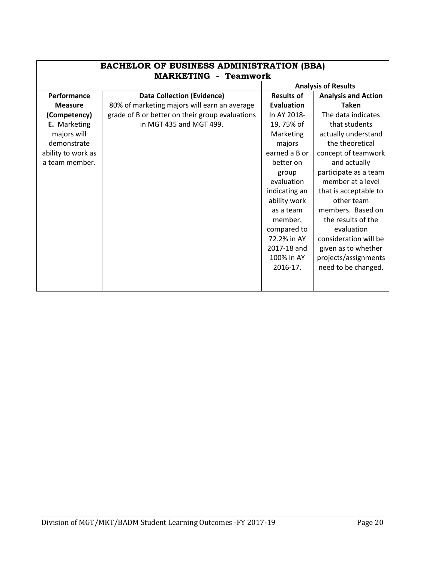| <b>BACHELOR OF BUSINESS ADMINISTRATION (BBA)</b><br><b>MARKETING - Teamwork</b> |                                                 |                   |                            |
|---------------------------------------------------------------------------------|-------------------------------------------------|-------------------|----------------------------|
|                                                                                 |                                                 |                   | <b>Analysis of Results</b> |
| Performance                                                                     | <b>Data Collection (Evidence)</b>               | <b>Results of</b> | <b>Analysis and Action</b> |
| <b>Measure</b>                                                                  | 80% of marketing majors will earn an average    | <b>Evaluation</b> | <b>Taken</b>               |
| (Competency)                                                                    | grade of B or better on their group evaluations | In AY 2018-       | The data indicates         |
| E. Marketing                                                                    | in MGT 435 and MGT 499.                         | 19,75% of         | that students              |
| majors will                                                                     |                                                 | Marketing         | actually understand        |
| demonstrate                                                                     |                                                 | majors            | the theoretical            |
| ability to work as                                                              |                                                 | earned a B or     | concept of teamwork        |
| a team member.                                                                  |                                                 | better on         | and actually               |
|                                                                                 |                                                 | group             | participate as a team      |
|                                                                                 |                                                 | evaluation        | member at a level          |
|                                                                                 |                                                 | indicating an     | that is acceptable to      |
|                                                                                 |                                                 | ability work      | other team                 |
|                                                                                 |                                                 | as a team         | members. Based on          |
|                                                                                 |                                                 | member,           | the results of the         |
|                                                                                 |                                                 | compared to       | evaluation                 |
|                                                                                 |                                                 | 72.2% in AY       | consideration will be      |
|                                                                                 |                                                 | 2017-18 and       | given as to whether        |
|                                                                                 |                                                 | 100% in AY        | projects/assignments       |
|                                                                                 |                                                 | 2016-17.          | need to be changed.        |
|                                                                                 |                                                 |                   |                            |
|                                                                                 |                                                 |                   |                            |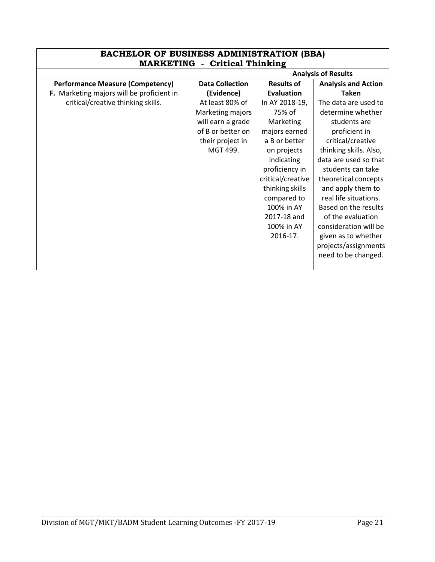| <b>BACHELOR OF BUSINESS ADMINISTRATION (BBA)</b><br><b>MARKETING - Critical Thinking</b> |                        |                            |                            |
|------------------------------------------------------------------------------------------|------------------------|----------------------------|----------------------------|
|                                                                                          |                        | <b>Analysis of Results</b> |                            |
| <b>Performance Measure (Competency)</b>                                                  | <b>Data Collection</b> | <b>Results of</b>          | <b>Analysis and Action</b> |
| F. Marketing majors will be proficient in                                                | (Evidence)             | <b>Evaluation</b>          | <b>Taken</b>               |
| critical/creative thinking skills.                                                       | At least 80% of        | In AY 2018-19,             | The data are used to       |
|                                                                                          | Marketing majors       | 75% of                     | determine whether          |
|                                                                                          | will earn a grade      | Marketing                  | students are               |
|                                                                                          | of B or better on      | majors earned              | proficient in              |
|                                                                                          | their project in       | a B or better              | critical/creative          |
|                                                                                          | MGT 499.               | on projects                | thinking skills. Also,     |
|                                                                                          |                        | indicating                 | data are used so that      |
|                                                                                          |                        | proficiency in             | students can take          |
|                                                                                          |                        | critical/creative          | theoretical concepts       |
|                                                                                          |                        | thinking skills            | and apply them to          |
|                                                                                          |                        | compared to                | real life situations.      |
|                                                                                          |                        | 100% in AY                 | Based on the results       |
|                                                                                          |                        | 2017-18 and                | of the evaluation          |
|                                                                                          |                        | 100% in AY                 | consideration will be      |
|                                                                                          |                        | 2016-17.                   | given as to whether        |
|                                                                                          |                        |                            | projects/assignments       |
|                                                                                          |                        |                            | need to be changed.        |
|                                                                                          |                        |                            |                            |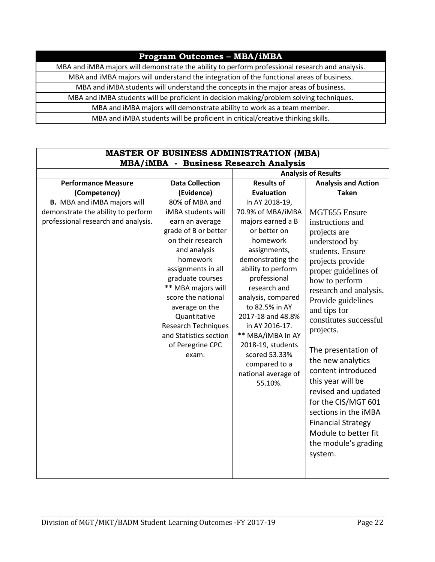#### **Program Outcomes – MBA/iMBA**

MBA and iMBA majors will demonstrate the ability to perform professional research and analysis.

MBA and iMBA majors will understand the integration of the functional areas of business.

MBA and iMBA students will understand the concepts in the major areas of business.

MBA and iMBA students will be proficient in decision making/problem solving techniques.

MBA and iMBA majors will demonstrate ability to work as a team member.

MBA and iMBA students will be proficient in critical/creative thinking skills.

#### **MASTER OF BUSINESS ADMINISTRATION (MBA) MBA/iMBA - Business Research Analysis Analysis of Results Performance Measure (Competency) B.** MBA and iMBA majors will demonstrate the ability to perform professional research and analysis. **Data Collection (Evidence)** 80% of MBA and iMBA students will earn an average grade of B or better on their research and analysis homework assignments in all graduate courses **\*\*** MBA majors will score the national average on the Quantitative Research Techniques and Statistics section of Peregrine CPC exam. **Results of Evaluation** In AY 2018-19, 70.9% of MBA/iMBA majors earned a B or better on homework assignments, demonstrating the ability to perform professional research and analysis, compared to 82.5% in AY 2017-18 and 48.8% in AY 2016-17. \*\* MBA/iMBA In AY 2018-19, students scored 53.33% compared to a national average of 55.10%. **Analysis and Action Taken** MGT655 Ensure instructions and projects are understood by students. Ensure projects provide proper guidelines of how to perform research and analysis. Provide guidelines and tips for constitutes successful projects. The presentation of the new analytics content introduced this year will be revised and updated for the CIS/MGT 601 sections in the iMBA Financial Strategy Module to better fit the module's grading system.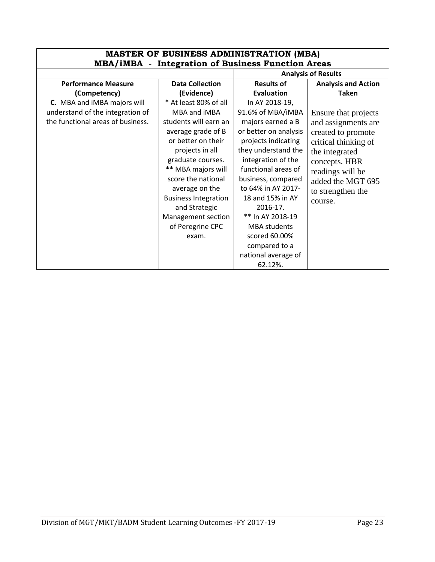| <b>MASTER OF BUSINESS ADMINISTRATION (MBA)</b>           |                             |                            |                            |  |
|----------------------------------------------------------|-----------------------------|----------------------------|----------------------------|--|
| <b>MBA/iMBA</b> - Integration of Business Function Areas |                             |                            |                            |  |
|                                                          |                             | <b>Analysis of Results</b> |                            |  |
| <b>Performance Measure</b>                               | <b>Data Collection</b>      | <b>Results of</b>          | <b>Analysis and Action</b> |  |
| (Competency)                                             | (Evidence)                  | <b>Evaluation</b>          | <b>Taken</b>               |  |
| C. MBA and iMBA majors will                              | * At least 80% of all       | In AY 2018-19,             |                            |  |
| understand of the integration of                         | MBA and iMBA                | 91.6% of MBA/iMBA          | Ensure that projects       |  |
| the functional areas of business.                        | students will earn an       | majors earned a B          | and assignments are        |  |
|                                                          | average grade of B          | or better on analysis      | created to promote         |  |
|                                                          | or better on their          | projects indicating        | critical thinking of       |  |
|                                                          | projects in all             | they understand the        | the integrated             |  |
|                                                          | graduate courses.           | integration of the         | concepts. HBR              |  |
|                                                          | ** MBA majors will          | functional areas of        | readings will be           |  |
|                                                          | score the national          | business, compared         | added the MGT 695          |  |
|                                                          | average on the              | to 64% in AY 2017-         | to strengthen the          |  |
|                                                          | <b>Business Integration</b> | 18 and 15% in AY           | course.                    |  |
|                                                          | and Strategic               | 2016-17.                   |                            |  |
|                                                          | Management section          | ** In AY 2018-19           |                            |  |
|                                                          | of Peregrine CPC            | <b>MBA</b> students        |                            |  |
|                                                          | exam.                       | scored 60.00%              |                            |  |
|                                                          |                             | compared to a              |                            |  |
|                                                          |                             | national average of        |                            |  |
|                                                          |                             | 62.12%.                    |                            |  |

## Division of MGT/MKT/BADM Student Learning Outcomes -FY 2017-19 Page 23

٦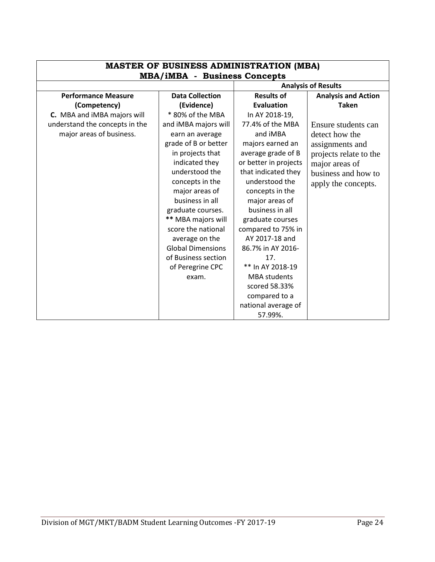| <b>MASTER OF BUSINESS ADMINISTRATION (MBA)</b> |                                                                   |                       |                            |
|------------------------------------------------|-------------------------------------------------------------------|-----------------------|----------------------------|
|                                                | <b>MBA/iMBA - Business Concepts</b><br><b>Analysis of Results</b> |                       |                            |
| <b>Performance Measure</b>                     | <b>Data Collection</b>                                            | <b>Results of</b>     | <b>Analysis and Action</b> |
| (Competency)                                   | (Evidence)                                                        | <b>Evaluation</b>     | <b>Taken</b>               |
| C. MBA and iMBA majors will                    | * 80% of the MBA                                                  | In AY 2018-19,        |                            |
| understand the concepts in the                 | and iMBA majors will                                              | 77.4% of the MBA      | Ensure students can        |
| major areas of business.                       | earn an average                                                   | and iMBA              | detect how the             |
|                                                | grade of B or better                                              | majors earned an      | assignments and            |
|                                                | in projects that                                                  | average grade of B    | projects relate to the     |
|                                                | indicated they                                                    | or better in projects | major areas of             |
|                                                | understood the                                                    | that indicated they   | business and how to        |
|                                                | concepts in the                                                   | understood the        | apply the concepts.        |
|                                                | major areas of                                                    | concepts in the       |                            |
|                                                | business in all                                                   | major areas of        |                            |
|                                                | graduate courses.                                                 | business in all       |                            |
|                                                | ** MBA majors will                                                | graduate courses      |                            |
|                                                | score the national                                                | compared to 75% in    |                            |
|                                                | average on the                                                    | AY 2017-18 and        |                            |
|                                                | <b>Global Dimensions</b>                                          | 86.7% in AY 2016-     |                            |
|                                                | of Business section                                               | 17.                   |                            |
|                                                | of Peregrine CPC                                                  | ** In AY 2018-19      |                            |
|                                                | exam.                                                             | <b>MBA</b> students   |                            |
|                                                |                                                                   | scored 58.33%         |                            |
|                                                |                                                                   | compared to a         |                            |
|                                                |                                                                   | national average of   |                            |
|                                                |                                                                   | 57.99%.               |                            |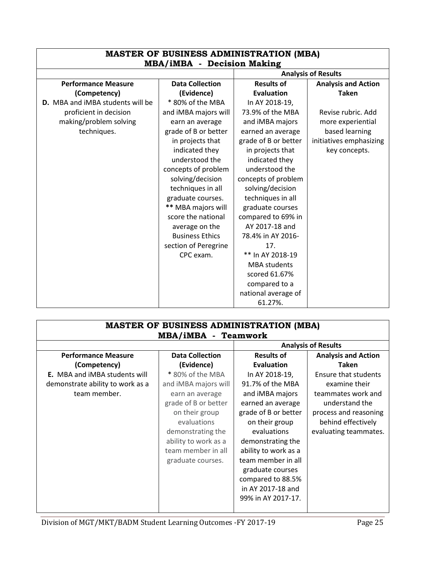| <b>MASTER OF BUSINESS ADMINISTRATION (MBA)</b> |                        |                      |                            |  |
|------------------------------------------------|------------------------|----------------------|----------------------------|--|
| <b>MBA/iMBA - Decision Making</b>              |                        |                      | <b>Analysis of Results</b> |  |
| <b>Performance Measure</b>                     | <b>Data Collection</b> | <b>Results of</b>    | <b>Analysis and Action</b> |  |
| (Competency)                                   | (Evidence)             | <b>Evaluation</b>    | <b>Taken</b>               |  |
| <b>D.</b> MBA and IMBA students will be        | * 80% of the MBA       | In AY 2018-19,       |                            |  |
| proficient in decision                         | and iMBA majors will   | 73.9% of the MBA     | Revise rubric. Add         |  |
| making/problem solving                         | earn an average        | and iMBA majors      | more experiential          |  |
| techniques.                                    | grade of B or better   | earned an average    | based learning             |  |
|                                                | in projects that       | grade of B or better | initiatives emphasizing    |  |
|                                                | indicated they         | in projects that     | key concepts.              |  |
|                                                | understood the         | indicated they       |                            |  |
|                                                | concepts of problem    | understood the       |                            |  |
|                                                | solving/decision       | concepts of problem  |                            |  |
|                                                | techniques in all      | solving/decision     |                            |  |
|                                                | graduate courses.      | techniques in all    |                            |  |
|                                                | ** MBA majors will     | graduate courses     |                            |  |
|                                                | score the national     | compared to 69% in   |                            |  |
|                                                | average on the         | AY 2017-18 and       |                            |  |
|                                                | <b>Business Ethics</b> | 78.4% in AY 2016-    |                            |  |
|                                                | section of Peregrine   | 17.                  |                            |  |
|                                                | CPC exam.              | ** In AY 2018-19     |                            |  |
|                                                |                        | <b>MBA</b> students  |                            |  |
|                                                |                        | scored 61.67%        |                            |  |
|                                                |                        | compared to a        |                            |  |
|                                                |                        | national average of  |                            |  |
|                                                |                        | 61.27%.              |                            |  |

| <b>MASTER OF BUSINESS ADMINISTRATION (MBA)</b><br>MBA/iMBA - Teamwork |                        |                      |                            |
|-----------------------------------------------------------------------|------------------------|----------------------|----------------------------|
|                                                                       |                        |                      | <b>Analysis of Results</b> |
| <b>Performance Measure</b>                                            | <b>Data Collection</b> | <b>Results of</b>    | <b>Analysis and Action</b> |
| (Competency)                                                          | (Evidence)             | <b>Evaluation</b>    | Taken                      |
| <b>E.</b> MBA and <i>iMBA</i> students will                           | * 80% of the MBA       | In AY 2018-19,       | Ensure that students       |
| demonstrate ability to work as a                                      | and iMBA majors will   | 91.7% of the MBA     | examine their              |
| team member.                                                          | earn an average        | and iMBA majors      | teammates work and         |
|                                                                       | grade of B or better   | earned an average    | understand the             |
|                                                                       | on their group         | grade of B or better | process and reasoning      |
|                                                                       | evaluations            | on their group       | behind effectively         |
|                                                                       | demonstrating the      | evaluations          | evaluating teammates.      |
|                                                                       | ability to work as a   | demonstrating the    |                            |
|                                                                       | team member in all     | ability to work as a |                            |
|                                                                       | graduate courses.      | team member in all   |                            |
|                                                                       |                        | graduate courses     |                            |
|                                                                       |                        | compared to 88.5%    |                            |
|                                                                       |                        | in AY 2017-18 and    |                            |
|                                                                       |                        | 99% in AY 2017-17.   |                            |
|                                                                       |                        |                      |                            |